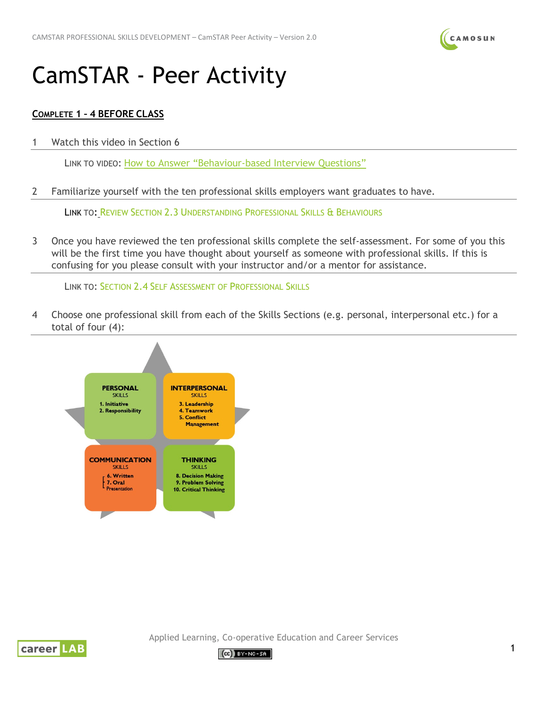

## CamSTAR - Peer Activity

## **COMPLETE 1 – 4 BEFORE CLASS**

1 Watch this video in Section 6

LINK TO VIDEO: [How to Answer "Behaviour-based Interview Questions"](https://camstar.opened.ca/lessons/3-2-video-the-star-story-technique/)

2 Familiarize yourself with the ten professional skills employers want graduates to have.

LINK TO: REVIEW SECTION 2.3 [UNDERSTANDING PROFESSIONAL SKILLS &](https://camstar.opened.ca/lessons/2-3-understanding-professional-skills-behaviours/) BEHAVIOURS

3 Once you have reviewed the ten professional skills complete the self-assessment. For some of you this will be the first time you have thought about yourself as someone with professional skills. If this is confusing for you please consult with your instructor and/or a mentor for assistance.

LINK TO: SECTION 2.4 [SELF ASSESSMENT OF PROFESSIONAL SKILLS](https://camstar.opened.ca/lessons/2-4-self-assessment-of-professional-skills/)

4 Choose one professional skill from each of the Skills Sections (e.g. personal, interpersonal etc.) for a total of four (4):





Applied Learning, Co-operative Education and Career Services